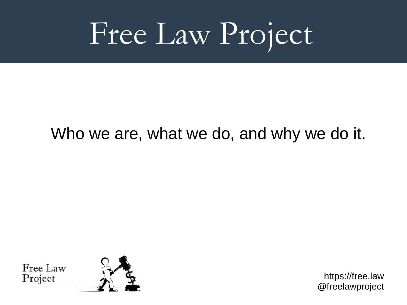## Free Law Project

#### Who we are, what we do, and why we do it.

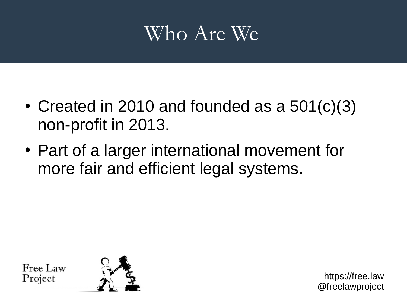### Who Are We

- Created in 2010 and founded as a  $501(c)(3)$ non-profit in 2013.
- Part of a larger international movement for more fair and efficient legal systems.

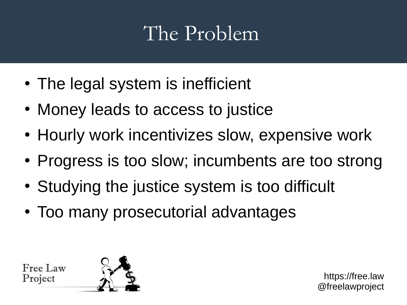## The Problem

- The legal system is inefficient
- Money leads to access to justice
- Hourly work incentivizes slow, expensive work
- Progress is too slow; incumbents are too strong
- Studying the justice system is too difficult
- Too many prosecutorial advantages

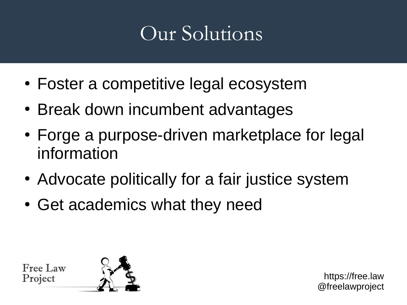## Our Solutions

- Foster a competitive legal ecosystem
- Break down incumbent advantages
- Forge a purpose-driven marketplace for legal information
- Advocate politically for a fair justice system
- Get academics what they need

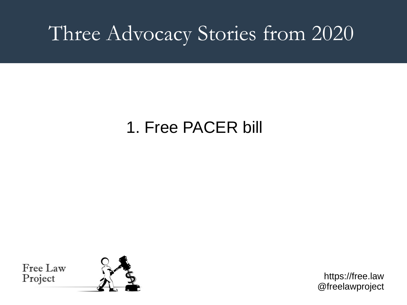### Three Advocacy Stories from 2020

#### 1. Free PACER bill

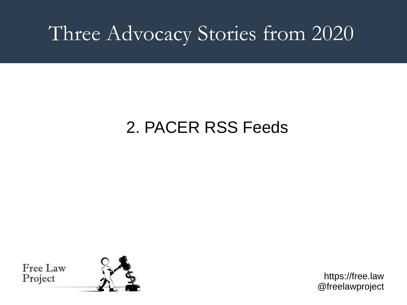## Three Advocacy Stories from 2020

#### 2. PACER RSS Feeds

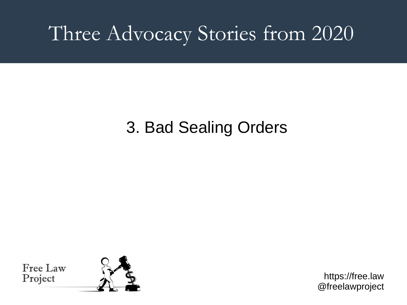### Three Advocacy Stories from 2020

#### 3. Bad Sealing Orders

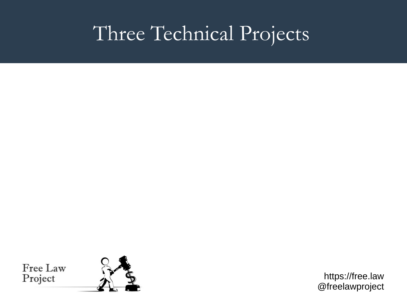## Three Technical Projects

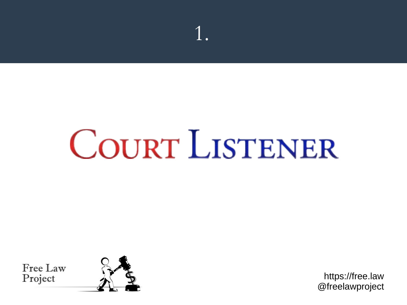# **COURT LISTENER**

1.

Free Law Project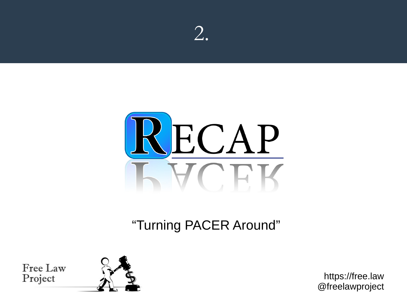



#### "Turning PACER Around"

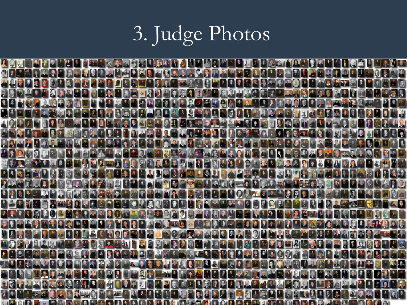## 3. Judge Photos

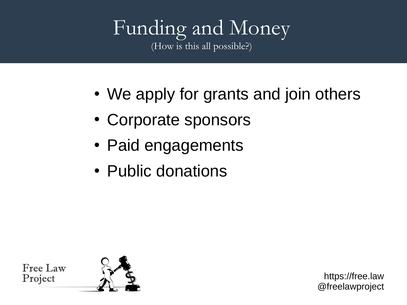#### Funding and Money (How is this all possible?)

- We apply for grants and join others
- Corporate sponsors
- Paid engagements
- Public donations